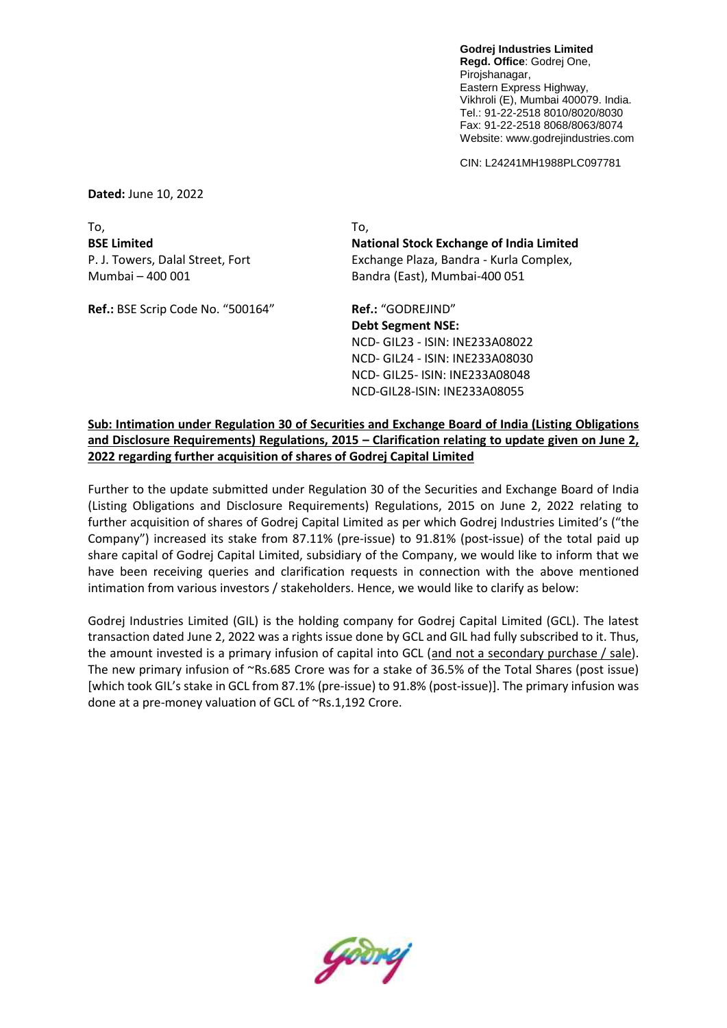**Godrej Industries Limited Regd. Office**: Godrej One, Pirojshanagar, Eastern Express Highway, Vikhroli (E), Mumbai 400079. India. Tel.: 91-22-2518 8010/8020/8030 Fax: 91-22-2518 8068/8063/8074 Website: www.godrejindustries.com

CIN: L24241MH1988PLC097781

**Dated:** June 10, 2022

To, To,

Ref.: BSE Scrip Code No. "500164" Ref.: "GODREJIND"

**BSE Limited National Stock Exchange of India Limited** P. J. Towers, Dalal Street, Fort Exchange Plaza, Bandra - Kurla Complex, Mumbai – 400 001 Bandra (East), Mumbai-400 051

> **Debt Segment NSE:** NCD- GIL23 - ISIN: INE233A08022 NCD- GIL24 - ISIN: INE233A08030 NCD- GIL25- ISIN: INE233A08048 NCD-GIL28-ISIN: INE233A08055

**Sub: Intimation under Regulation 30 of Securities and Exchange Board of India (Listing Obligations and Disclosure Requirements) Regulations, 2015 – Clarification relating to update given on June 2, 2022 regarding further acquisition of shares of Godrej Capital Limited** 

Further to the update submitted under Regulation 30 of the Securities and Exchange Board of India (Listing Obligations and Disclosure Requirements) Regulations, 2015 on June 2, 2022 relating to further acquisition of shares of Godrej Capital Limited as per which Godrej Industries Limited's ("the Company") increased its stake from 87.11% (pre-issue) to 91.81% (post-issue) of the total paid up share capital of Godrej Capital Limited, subsidiary of the Company, we would like to inform that we have been receiving queries and clarification requests in connection with the above mentioned intimation from various investors / stakeholders. Hence, we would like to clarify as below:

Godrej Industries Limited (GIL) is the holding company for Godrej Capital Limited (GCL). The latest transaction dated June 2, 2022 was a rights issue done by GCL and GIL had fully subscribed to it. Thus, the amount invested is a primary infusion of capital into GCL (and not a secondary purchase / sale). The new primary infusion of ~Rs.685 Crore was for a stake of 36.5% of the Total Shares (post issue) [which took GIL's stake in GCL from 87.1% (pre-issue) to 91.8% (post-issue)]. The primary infusion was done at a pre-money valuation of GCL of ~Rs.1,192 Crore.